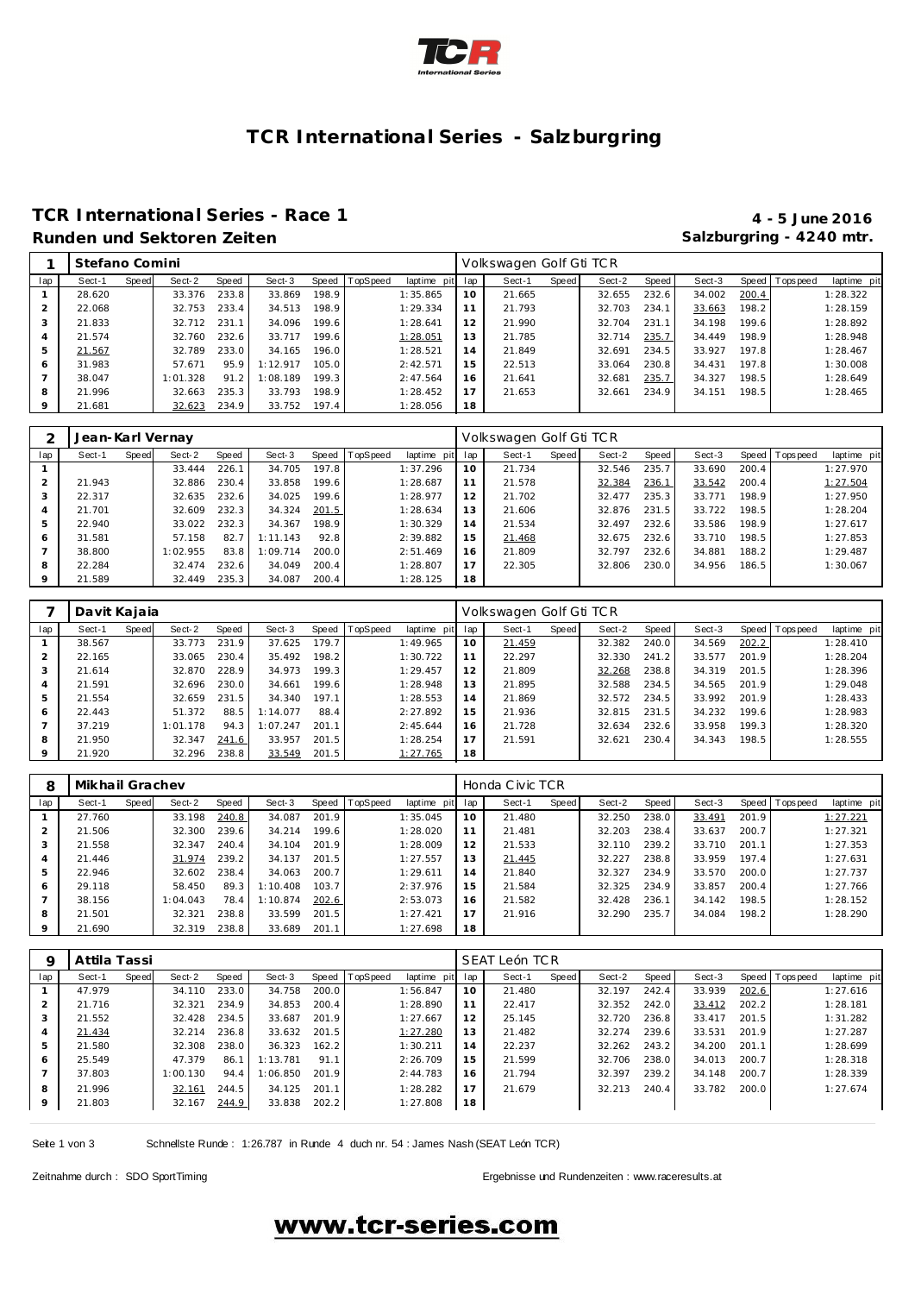

## **TCR International Series - Salzburgring**

### **TCR International Series - Race 1 4 - 5 June 2016 Runden und Sektoren Zeiten Salzburgring - 4240 mtr.**

|     | Stefano Comini |       |          |       |          |       |                |             |     | Volkswagen Golf Gti TCR |       |        |       |        |       |                 |             |
|-----|----------------|-------|----------|-------|----------|-------|----------------|-------------|-----|-------------------------|-------|--------|-------|--------|-------|-----------------|-------------|
| lap | Sect-1         | Speed | Sect-2   | Speed | Sect-3   |       | Speed TopSpeed | laptime pit | lap | Sect-1                  | Speed | Sect-2 | Speed | Sect-3 |       | Speed Tops peed | laptime pit |
|     | 28.620         |       | 33.376   | 233.8 | 33.869   | 198.9 |                | 1:35.865    | 10  | 21.665                  |       | 32.655 | 232.6 | 34.002 | 200.4 |                 | 1:28.322    |
|     | 22.068         |       | 32.753   | 233.4 | 34.513   | 198.9 |                | 1:29.334    | 11  | 21.793                  |       | 32.703 | 234.1 | 33.663 | 198.2 |                 | 1:28.159    |
| 3   | 21.833         |       | 32.712   | 231.1 | 34.096   | 199.6 |                | 1:28.641    | 12  | 21.990                  |       | 32.704 | 231   | 34.198 | 199.6 |                 | 1:28.892    |
| 4   | 21.574         |       | 32.760   | 232.6 | 33.717   | 199.6 |                | 1:28.051    | 13  | 21.785                  |       | 32.714 | 235.7 | 34.449 | 198.9 |                 | 1:28.948    |
| 5   | 21.567         |       | 32.789   | 233.0 | 34.165   | 196.0 |                | 1:28.521    | 14  | 21.849                  |       | 32.691 | 234.5 | 33.927 | 197.8 |                 | 1:28.467    |
| 6   | 31.983         |       | 57.671   | 95.9  | 1:12.917 | 105.0 |                | 2:42.571    | 15  | 22.513                  |       | 33.064 | 230.8 | 34.431 | 197.8 |                 | 1:30.008    |
|     | 38.047         |       | 1:01.328 | 91.2  | 1:08.189 | 199.3 |                | 2:47.564    | 16  | 21.641                  |       | 32.681 | 235.7 | 34.327 | 198.5 |                 | 1:28.649    |
| 8   | 21.996         |       | 32.663   | 235.3 | 33.793   | 198.9 |                | 1:28.452    | 17  | 21.653                  |       | 32.661 | 234.9 | 34.151 | 198.5 |                 | 1:28.465    |
| 9   | 21.681         |       | 32.623   | 234.9 | 33.752   | 197.4 |                | 1:28.056    | 18  |                         |       |        |       |        |       |                 |             |

|     | Jean-Karl Vernay |       |          |       |          |                    |                  |             |     | Volkswagen Golf Gti TCR |       |        |       |        |       |                 |             |
|-----|------------------|-------|----------|-------|----------|--------------------|------------------|-------------|-----|-------------------------|-------|--------|-------|--------|-------|-----------------|-------------|
| lap | Sect-1           | Speed | Sect-2   | Speed | Sect-3   |                    | Speed   TopSpeed | laptime pit | lap | Sect-1                  | Speed | Sect-2 | Speed | Sect-3 |       | Speed Tops peed | laptime pit |
|     |                  |       | 33.444   | 226.1 | 34.705   | 197.8              |                  | 1:37.296    | 10  | 21.734                  |       | 32.546 | 235.7 | 33.690 | 200.4 |                 | 1:27.970    |
|     | 21.943           |       | 32.886   | 230.4 | 33.858   | 199.6 <sub>1</sub> |                  | 1:28.687    | 11  | 21.578                  |       | 32.384 | 236.1 | 33.542 | 200.4 |                 | 1:27.504    |
| 3   | 22.317           |       | 32.635   | 232.6 | 34.025   | 199.6              |                  | 1:28.977    | 12  | 21.702                  |       | 32.477 | 235.3 | 33.771 | 198.9 |                 | 1:27.950    |
| 4   | 21.701           |       | 32.609   | 232.3 | 34.324   | 201.5              |                  | 1:28.634    | 13  | 21.606                  |       | 32.876 | 231.5 | 33.722 | 198.5 |                 | 1:28.204    |
| 5   | 22.940           |       | 33.022   | 232.3 | 34.367   | 198.9              |                  | 1:30.329    | 14  | 21.534                  |       | 32.497 | 232.6 | 33.586 | 198.9 |                 | 1:27.617    |
| 6   | 31.581           |       | 57.158   | 82.7  | 1:11.143 | 92.8               |                  | 2:39.882    | 15  | 21.468                  |       | 32.675 | 232.6 | 33.710 | 198.5 |                 | 1:27.853    |
|     | 38,800           |       | 1:02.955 | 83.8  | 1:09.714 | 200.0              |                  | 2:51.469    | 16  | 21.809                  |       | 32.797 | 232.6 | 34.881 | 188.2 |                 | 1:29.487    |
| 8   | 22.284           |       | 32.474   | 232.6 | 34.049   | 200.4              |                  | 1:28.807    | 17  | 22.305                  |       | 32.806 | 230.0 | 34.956 | 186.5 |                 | 1:30.067    |
| 9   | 21.589           |       | 32.449   | 235.3 | 34.087   | 200.4              |                  | 1:28.125    | 18  |                         |       |        |       |        |       |                 |             |

|         | Davit Kajaia |       |          |       |          |       |          |                 |    | Volkswagen Golf Gti TCR |       |        |       |        |       |                |             |
|---------|--------------|-------|----------|-------|----------|-------|----------|-----------------|----|-------------------------|-------|--------|-------|--------|-------|----------------|-------------|
| lap     | Sect-1       | Speed | Sect-2   | Speed | Sect-3   | Speed | TopSpeed | laptime pit lap |    | Sect-1                  | Speed | Sect-2 | Speed | Sect-3 |       | Speed Topspeed | laptime pit |
|         | 38.567       |       | 33.773   | 231.9 | 37.625   | 179.7 |          | 1:49.965        | 10 | 21.459                  |       | 32.382 | 240.0 | 34.569 | 202.2 |                | 1:28.410    |
|         | 22.165       |       | 33.065   | 230.4 | 35.492   | 198.2 |          | 1:30.722        | 11 | 22.297                  |       | 32.330 | 241.2 | 33.577 | 201.9 |                | 1:28.204    |
| 3       | 21.614       |       | 32.870   | 228.9 | 34.973   | 199.3 |          | 1:29.457        | 12 | 21.809                  |       | 32.268 | 238.8 | 34.319 | 201.5 |                | 1:28.396    |
| 4       | 21.591       |       | 32.696   | 230.0 | 34.661   | 199.6 |          | 1:28.948        | 13 | 21.895                  |       | 32.588 | 234.5 | 34.565 | 201.9 |                | 1:29.048    |
| 5       | 21.554       |       | 32.659   | 231.5 | 34.340   | 197.1 |          | 1:28.553        | 14 | 21.869                  |       | 32.572 | 234.5 | 33.992 | 201.9 |                | 1:28.433    |
| 6       | 22.443       |       | 51.372   | 88.5  | 1:14.077 | 88.4  |          | 2:27.892        | 15 | 21.936                  |       | 32.815 | 231.5 | 34.232 | 199.6 |                | 1:28.983    |
|         | 37.219       |       | 1:01.178 | 94.3  | 1:07.247 | 201.1 |          | 2:45.644        | 16 | 21.728                  |       | 32.634 | 232.6 | 33.958 | 199.3 |                | 1:28.320    |
| 8       | 21.950       |       | 32.347   | 241.6 | 33.957   | 201.5 |          | 1:28.254        |    | 21.591                  |       | 32.621 | 230.4 | 34.343 | 198.5 |                | 1:28.555    |
| $\circ$ | 21.920       |       | 32.296   | 238.8 | 33.549   | 201.5 |          | 1:27.765        | 18 |                         |       |        |       |        |       |                |             |

| 8   | Mikhail Grachev |       |          |       |          |       |                 |             |     | Honda Civic TCR |       |        |       |        |       |                |             |
|-----|-----------------|-------|----------|-------|----------|-------|-----------------|-------------|-----|-----------------|-------|--------|-------|--------|-------|----------------|-------------|
| lap | Sect-1          | Speed | Sect-2   | Speed | Sect-3   | Speed | <b>TopSpeed</b> | laptime pit | lap | Sect-1          | Speed | Sect-2 | Speed | Sect-3 |       | Speed Topspeed | laptime pit |
|     | 27.760          |       | 33.198   | 240.8 | 34.087   | 201.9 |                 | 1:35.045    | 10  | 21.480          |       | 32.250 | 238.0 | 33.491 | 201.9 |                | 1:27.221    |
|     | 21.506          |       | 32.300   | 239.6 | 34.214   | 199.6 |                 | 1:28.020    | 11  | 21.481          |       | 32.203 | 238.4 | 33.637 | 200.7 |                | 1:27.321    |
| 3   | 21.558          |       | 32.347   | 240.4 | 34.104   | 201.9 |                 | 1:28.009    | 12  | 21.533          |       | 32.110 | 239.2 | 33.710 | 201.1 |                | 1:27.353    |
| 4   | 21.446          |       | 31.974   | 239.2 | 34.137   | 201.5 |                 | 1:27.557    | 13  | 21.445          |       | 32.227 | 238.8 | 33.959 | 197.4 |                | 1:27.631    |
| 5   | 22.946          |       | 32.602   | 238.4 | 34.063   | 200.7 |                 | 1:29.611    | 14  | 21.840          |       | 32.327 | 234.9 | 33.570 | 200.0 |                | 1:27.737    |
| 6   | 29.118          |       | 58.450   | 89.3  | 1:10.408 | 103.7 |                 | 2:37.976    | 15  | 21.584          |       | 32.325 | 234.9 | 33.857 | 200.4 |                | 1:27.766    |
|     | 38.156          |       | 1:04.043 | 78.4  | 1:10.874 | 202.6 |                 | 2:53.073    | 16  | 21.582          |       | 32.428 | 236.1 | 34.142 | 198.5 |                | 1:28.152    |
| 8   | 21.501          |       | 32.321   | 238.8 | 33.599   | 201.5 |                 | 1:27.421    | 17  | 21.916          |       | 32.290 | 235.7 | 34.084 | 198.2 |                | 1:28.290    |
| 9   | 21.690          |       | 32.319   | 238.8 | 33.689   | 201.1 |                 | 1:27.698    | 18  |                 |       |        |       |        |       |                |             |

| Q       | Attila Tassi |       |          |       |          |       |          |             |     | SEAT León TCR |       |        |       |        |       |                |             |
|---------|--------------|-------|----------|-------|----------|-------|----------|-------------|-----|---------------|-------|--------|-------|--------|-------|----------------|-------------|
| lap     | Sect-1       | Speed | Sect-2   | Speed | Sect-3   | Speed | TopSpeed | laptime pit | lap | Sect-1        | Speed | Sect-2 | Speed | Sect-3 |       | Speed Topspeed | laptime pit |
|         | 47.979       |       | 34.110   | 233.0 | 34.758   | 200.0 |          | 1:56.847    | 10  | 21.480        |       | 32.197 | 242.4 | 33.939 | 202.6 |                | 1:27.616    |
|         | 21.716       |       | 32.321   | 234.9 | 34.853   | 200.4 |          | 1:28.890    |     | 22.417        |       | 32.352 | 242.0 | 33.412 | 202.2 |                | 1:28.181    |
|         | 21.552       |       | 32.428   | 234.5 | 33.687   | 201.9 |          | 1:27.667    | 12  | 25.145        |       | 32.720 | 236.8 | 33.417 | 201.5 |                | 1:31.282    |
| 4       | 21.434       |       | 32.214   | 236.8 | 33.632   | 201.5 |          | 1:27.280    | 13  | 21.482        |       | 32.274 | 239.6 | 33.531 | 201.9 |                | 1:27.287    |
| 5       | 21.580       |       | 32.308   | 238.0 | 36.323   | 162.2 |          | 1:30.211    | 14  | 22.237        |       | 32.262 | 243.2 | 34.200 | 201.1 |                | 1:28.699    |
| 6       | 25.549       |       | 47.379   | 86.   | 1:13.781 | 91.1  |          | 2:26.709    | 15  | 21.599        |       | 32.706 | 238.0 | 34.013 | 200.7 |                | 1:28.318    |
|         | 37.803       |       | 1:00.130 | 94.4  | 1:06.850 | 201.9 |          | 2:44.783    | 16  | 21.794        |       | 32.397 | 239.2 | 34.148 | 200.7 |                | 1:28.339    |
| 8       | 21.996       |       | 32.161   | 244.5 | 34.125   | 201.1 |          | 1:28.282    | 17  | 21.679        |       | 32.213 | 240.4 | 33.782 | 200.0 |                | 1:27.674    |
| $\circ$ | 21.803       |       | 32.167   | 244.9 | 33.838   | 202.2 |          | 1:27.808    | 18  |               |       |        |       |        |       |                |             |

Seite 1 von 3 Schnellste Runde : 1:26.787 in Runde 4 duch nr. 54 : James Nash (SEAT León TCR)

Zeitnahme durch : SDO SportTiming et al. et al. et al. et al. et al. et al. et al. et al. et al. et al. et al. et al. et al. et al. et al. et al. et al. et al. et al. et al. et al. et al. et al. et al. et al. et al. et al.

## www.tcr-series.com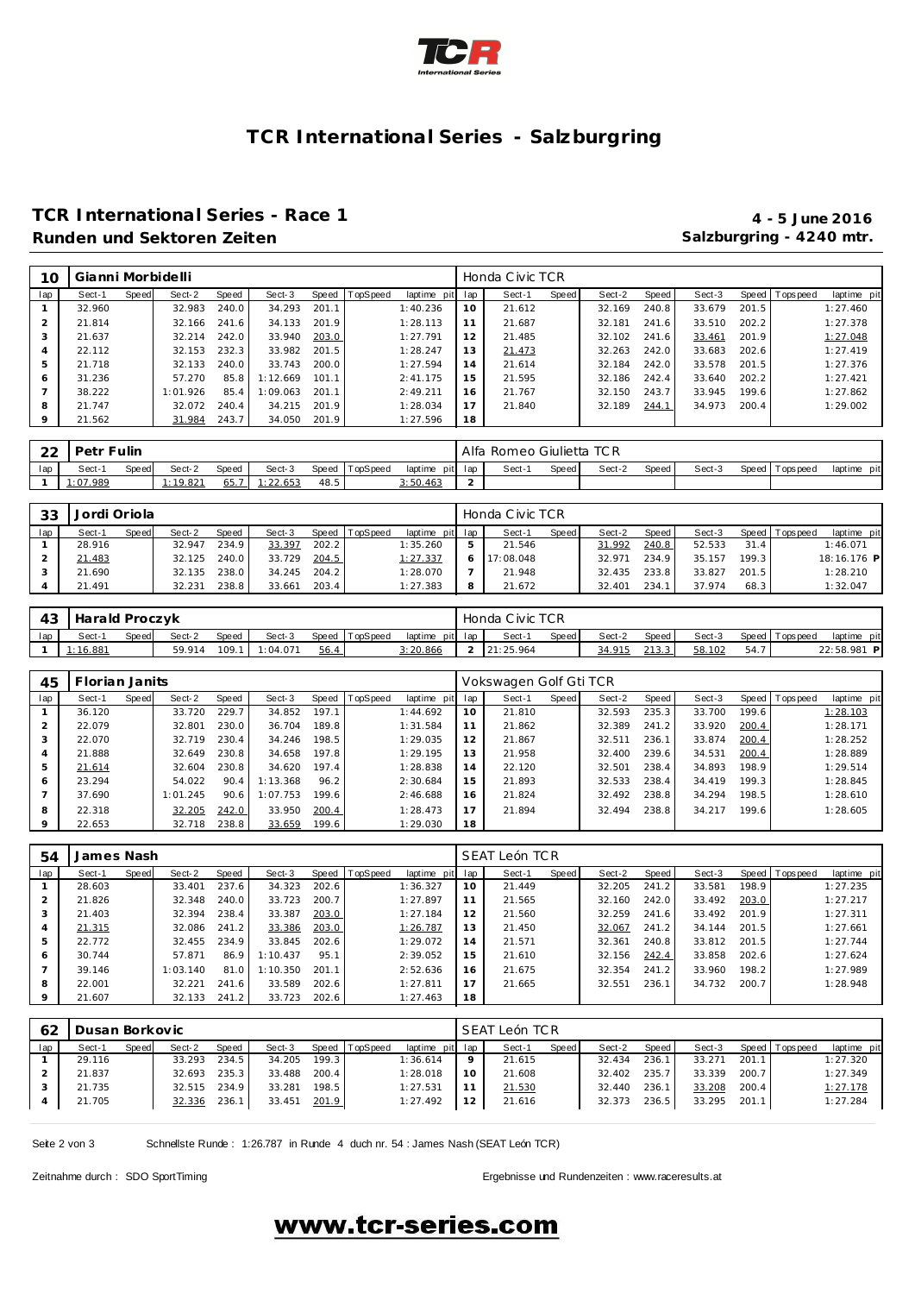

## **TCR International Series - Salzburgring**

### **TCR International Series - Race 1 4 - 5 June 2016 Runden und Sektoren Zeiten Salzburgring - 4240 mtr.**

| 10  | Gianni Morbidelli |       |          |       |          |       |                |                 |    | Honda Civic TCR |       |        |       |        |       |                |             |
|-----|-------------------|-------|----------|-------|----------|-------|----------------|-----------------|----|-----------------|-------|--------|-------|--------|-------|----------------|-------------|
| lap | Sect-1            | Speed | Sect-2   | Speed | Sect-3   |       | Speed TopSpeed | laptime pit lap |    | Sect-1          | Speed | Sect-2 | Speed | Sect-3 |       | Speed Topspeed | laptime pit |
|     | 32.960            |       | 32.983   | 240.0 | 34.293   | 201.1 |                | 1:40.236        | 10 | 21.612          |       | 32.169 | 240.8 | 33.679 | 201.5 |                | 1:27.460    |
|     | 21.814            |       | 32.166   | 241.6 | 34.133   | 201.9 |                | 1:28.113        | 11 | 21.687          |       | 32.181 | 241.6 | 33.510 | 202.2 |                | 1:27.378    |
| 3   | 21.637            |       | 32.214   | 242.0 | 33.940   | 203.0 |                | 1:27.791        | 12 | 21.485          |       | 32.102 | 241.6 | 33.461 | 201.9 |                | 1:27.048    |
|     | 22.112            |       | 32.153   | 232.3 | 33.982   | 201.5 |                | 1:28.247        | 13 | 21.473          |       | 32.263 | 242.0 | 33.683 | 202.6 |                | 1:27.419    |
| 5   | 21.718            |       | 32.133   | 240.0 | 33.743   | 200.0 |                | 1:27.594        | 14 | 21.614          |       | 32.184 | 242.0 | 33.578 | 201.5 |                | 1:27.376    |
| 6   | 31.236            |       | 57.270   | 85.8  | 1:12.669 | 101.1 |                | 2:41.175        | 15 | 21.595          |       | 32.186 | 242.4 | 33.640 | 202.2 |                | 1:27.421    |
|     | 38.222            |       | 1:01.926 | 85.4  | :09.063  | 201.1 |                | 2:49.211        | 16 | 21.767          |       | 32.150 | 243.7 | 33.945 | 199.6 |                | 1:27.862    |
| 8   | 21.747            |       | 32.072   | 240.4 | 34.215   | 201.9 |                | 1:28.034        | 17 | 21.840          |       | 32.189 | 244.1 | 34.973 | 200.4 |                | 1:29.002    |
| 9   | 21.562            |       | 31.984   | 243.7 | 34.050   | 201.9 |                | 1:27.596        | 18 |                 |       |        |       |        |       |                |             |

| $\cap$<br>∸ | Petr       | Fulin |          |       |          |       |                 |          |         | Alfa Romeo Giulietta TCR |       |        |       |        |                |                |
|-------------|------------|-------|----------|-------|----------|-------|-----------------|----------|---------|--------------------------|-------|--------|-------|--------|----------------|----------------|
| lap         | Sect-      | Speed | Sect-2   | Speed | Sect-3   | Speed | <b>TopSpeed</b> | laptime  | pit lap | Sect-                    | Speed | Sect-2 | Speed | Sect-3 | Speed Topspeed | pit<br>laptime |
|             | (1.07.989) |       | : 19.821 | 65.7  | 1:22.653 | 48.5  |                 | 3:50.463 |         |                          |       |        |       |        |                |                |

| 33  | Jordi Oriola |       |        |              |        |       |          |                 |   | Honda Civic TCR |              |        |       |        |       |                 |             |
|-----|--------------|-------|--------|--------------|--------|-------|----------|-----------------|---|-----------------|--------------|--------|-------|--------|-------|-----------------|-------------|
| lap | Sect-1       | Speed | Sect-2 | <b>Speed</b> | Sect-3 | Speed | TopSpeed | laptime pit lap |   | Sect-1          | <b>Speed</b> | Sect-2 | Speed | Sect-3 |       | Speed Tops peed | laptime pit |
|     | 28.916       |       | 32.947 | 234.9        | 33.397 | 202.2 |          | 1:35.260        | ь | 21.546          |              | 31.992 | 240.8 | 52.533 | 31.4  |                 | 1:46.071    |
|     | 21.483       |       | 32.125 | 240.0        | 33.729 | 204.5 |          | 1: 27.337       |   | 17:08.048       |              | 32.971 | 234.9 | 35.157 | 199.3 |                 | 18:16.176 P |
|     | 21.690       |       | 32.135 | 238.0        | 34.245 | 204.2 |          | 1:28.070        |   | 21.948          |              | 32.435 | 233.8 | 33.827 | 201.5 |                 | 1:28.210    |
|     | 21.491       |       | 32.231 | 238.8        | 33.661 | 203.4 |          | 1:27.383        | 8 | 21.672          |              | 32.401 | 234.1 | 37.974 | 68.3  |                 | 1:32.047    |

| 43  | Harald Proczyk |       |        |       |                |      |                |                 | Honda Civic TCR |       |        |         |        |      |                 |             |
|-----|----------------|-------|--------|-------|----------------|------|----------------|-----------------|-----------------|-------|--------|---------|--------|------|-----------------|-------------|
| lap | Sect-          | Speed | Sect-2 | Speed | Sect-3         |      | Speed TopSpeed | laptime pit lap | Sect-1          | Speed | Sect-2 | Speed I | Sect-3 |      | Speed Tops peed | laptime pit |
|     | 1:16.881       |       | 59.914 |       | 109.1 1:04.071 | 56.4 |                | 2:20.866        | 21:25.964       |       | 34.915 | 213.3   | 58.102 | 54.7 |                 | 22:58.981 P |

| 45             | Florian Janits |       |          |       |          |       |                |             |     | Vokswagen Golf Gti TCR |       |        |       |        |       |                 |             |
|----------------|----------------|-------|----------|-------|----------|-------|----------------|-------------|-----|------------------------|-------|--------|-------|--------|-------|-----------------|-------------|
| lap            | Sect-1         | Speed | Sect-2   | Speed | Sect-3   |       | Speed TopSpeed | laptime pit | lap | Sect-1                 | Speed | Sect-2 | Speed | Sect-3 |       | Speed Tops peed | laptime pit |
|                | 36.120         |       | 33.720   | 229.7 | 34.852   | 197.1 |                | 1:44.692    | 10  | 21.810                 |       | 32.593 | 235.3 | 33.700 | 199.6 |                 | 1:28.103    |
|                | 22.079         |       | 32.801   | 230.0 | 36.704   | 189.8 |                | 1:31.584    | 11  | 21.862                 |       | 32.389 | 241.2 | 33.920 | 200.4 |                 | 1:28.171    |
| 3              | 22.070         |       | 32.719   | 230.4 | 34.246   | 198.5 |                | 1:29.035    | 12  | 21.867                 |       | 32.511 | 236.1 | 33.874 | 200.4 |                 | 1:28.252    |
| $\overline{4}$ | 21.888         |       | 32.649   | 230.8 | 34.658   | 197.8 |                | 1:29.195    | 13  | 21.958                 |       | 32.400 | 239.6 | 34.531 | 200.4 |                 | 1:28.889    |
| 5              | 21.614         |       | 32.604   | 230.8 | 34.620   | 197.4 |                | 1:28.838    | 14  | 22.120                 |       | 32.501 | 238.4 | 34.893 | 198.9 |                 | 1:29.514    |
| 6              | 23.294         |       | 54.022   | 90.4  | 1:13.368 | 96.2  |                | 2:30.684    | 15  | 21.893                 |       | 32.533 | 238.4 | 34.419 | 199.3 |                 | 1:28.845    |
|                | 37.690         |       | 1:01.245 | 90.6  | 1:07.753 | 199.6 |                | 2:46.688    | 16  | 21.824                 |       | 32.492 | 238.8 | 34.294 | 198.5 |                 | 1:28.610    |
| 8              | 22.318         |       | 32.205   | 242.0 | 33.950   | 200.4 |                | 1:28.473    | 17  | 21.894                 |       | 32.494 | 238.8 | 34.217 | 199.6 |                 | 1:28.605    |
| $\circ$        | 22.653         |       | 32.718   | 238.8 | 33.659   | 199.6 |                | 1:29.030    | 18  |                        |       |        |       |        |       |                 |             |

| 54             | James Nash |       |          |       |          |       |                |                 |    | SEAT León TCR |       |        |       |        |       |                 |             |
|----------------|------------|-------|----------|-------|----------|-------|----------------|-----------------|----|---------------|-------|--------|-------|--------|-------|-----------------|-------------|
| lap            | Sect-1     | Speed | Sect-2   | Speed | Sect-3   |       | Speed TopSpeed | laptime pit lap |    | Sect-1        | Speed | Sect-2 | Speed | Sect-3 |       | Speed Tops peed | laptime pit |
|                | 28.603     |       | 33.401   | 237.6 | 34.323   | 202.6 |                | 1:36.327        | 10 | 21.449        |       | 32.205 | 241.2 | 33.581 | 198.9 |                 | 1:27.235    |
|                | 21.826     |       | 32.348   | 240.0 | 33.723   | 200.7 |                | 1:27.897        | 11 | 21.565        |       | 32.160 | 242.0 | 33.492 | 203.0 |                 | 1:27.217    |
| 3              | 21.403     |       | 32.394   | 238.4 | 33.387   | 203.0 |                | 1:27.184        | 12 | 21.560        |       | 32.259 | 241.6 | 33.492 | 201.9 |                 | 1:27.311    |
| $\overline{4}$ | 21.315     |       | 32.086   | 241.2 | 33.386   | 203.0 |                | 1:26.787        | 13 | 21.450        |       | 32.067 | 241.2 | 34.144 | 201.5 |                 | 1:27.661    |
| 5              | 22.772     |       | 32.455   | 234.9 | 33.845   | 202.6 |                | 1:29.072        | 14 | 21.571        |       | 32.361 | 240.8 | 33.812 | 201.5 |                 | 1:27.744    |
| 6              | 30.744     |       | 57.871   | 86.9  | 1:10.437 | 95.1  |                | 2:39.052        | 15 | 21.610        |       | 32.156 | 242.4 | 33.858 | 202.6 |                 | 1:27.624    |
|                | 39.146     |       | 1:03.140 | 81.0  | 1:10.350 | 201.1 |                | 2:52.636        | 16 | 21.675        |       | 32.354 | 241.2 | 33.960 | 198.2 |                 | 1:27.989    |
| 8              | 22.001     |       | 32.221   | 241.6 | 33.589   | 202.6 |                | 1:27.811        | 17 | 21.665        |       | 32.551 | 236.1 | 34.732 | 200.7 |                 | 1:28.948    |
| $\circ$        | 21.607     |       | 32.133   | 241.2 | 33.723   | 202.6 |                | 1:27.463        | 18 |               |       |        |       |        |       |                 |             |

| -62 | Dusan Borkovic |       |              |       |        |       |                |                 |         | SEAT León TCR |       |        |       |        |       |                 |             |
|-----|----------------|-------|--------------|-------|--------|-------|----------------|-----------------|---------|---------------|-------|--------|-------|--------|-------|-----------------|-------------|
| lap | Sect-1         | Speed | Sect-2       | Speed | Sect-3 |       | Speed TopSpeed | laptime pit lap |         | Sect-1        | Speed | Sect-2 | Speed | Sect-3 |       | Speed Tops peed | laptime pit |
|     | 29.116         |       | 33.293       | 234.5 | 34.205 | 199.3 |                | 1:36.614        | $\circ$ | 21.615        |       | 32.434 | 236.1 | 33.271 | 201.1 |                 | 1:27.320    |
|     | 21.837         |       | 32.693 235.3 |       | 33.488 | 200.4 |                | 1:28.018        | 10      | 21.608        |       | 32.402 | 235.7 | 33.339 | 200.7 |                 | 1:27.349    |
|     | 21.735         |       | 32.515 234.9 |       | 33.281 | 198.5 |                | 1:27.531        |         | 21.530        |       | 32.440 | 236.1 | 33.208 | 200.4 |                 | 1:27.178    |
|     | 21.705         |       | 32.336 236.1 |       | 33.451 | 201.9 |                | 1:27.492        | 12      | 21.616        |       | 32.373 | 236.5 | 33.295 | 201.1 |                 | 1:27.284    |
|     |                |       |              |       |        |       |                |                 |         |               |       |        |       |        |       |                 |             |

Seite 2 von 3 Schnellste Runde : 1:26.787 in Runde 4 duch nr. 54 : James Nash (SEAT León TCR)

Zeitnahme durch : SDO SportTiming Ergebnisse und Rundenzeiten : [www.raceresults.a](www.raceresults.at)t

## www.tcr-series.com